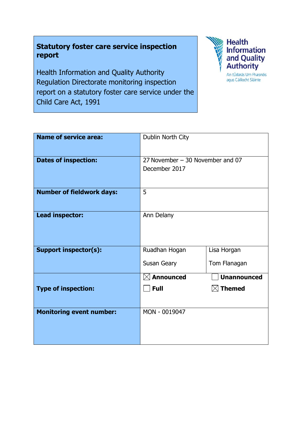**Statutory foster care service inspection report** 

Health Information and Quality Authority Regulation Directorate monitoring inspection report on a statutory foster care service under the Child Care Act, 1991



| <b>Name of service area:</b>     | Dublin North City                                 |                             |
|----------------------------------|---------------------------------------------------|-----------------------------|
| <b>Dates of inspection:</b>      | 27 November - 30 November and 07<br>December 2017 |                             |
| <b>Number of fieldwork days:</b> | 5                                                 |                             |
| Lead inspector:                  | Ann Delany                                        |                             |
| <b>Support inspector(s):</b>     | Ruadhan Hogan<br>Susan Geary                      | Lisa Horgan<br>Tom Flanagan |
|                                  | $\boxtimes$ Announced                             | <b>Unannounced</b>          |
| <b>Type of inspection:</b>       | <b>Full</b>                                       | $\boxtimes$ Themed          |
| <b>Monitoring event number:</b>  | MON - 0019047                                     |                             |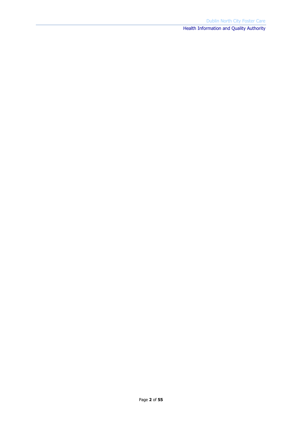Health Information and Quality Authority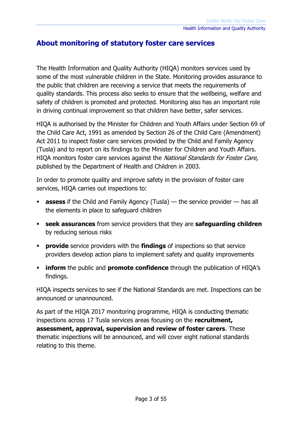# **About monitoring of statutory foster care services**

The Health Information and Quality Authority (HIQA) monitors services used by some of the most vulnerable children in the State. Monitoring provides assurance to the public that children are receiving a service that meets the requirements of quality standards. This process also seeks to ensure that the wellbeing, welfare and safety of children is promoted and protected. Monitoring also has an important role in driving continual improvement so that children have better, safer services.

HIQA is authorised by the Minister for Children and Youth Affairs under Section 69 of the Child Care Act, 1991 as amended by Section 26 of the Child Care (Amendment) Act 2011 to inspect foster care services provided by the Child and Family Agency (Tusla) and to report on its findings to the Minister for Children and Youth Affairs. HIQA monitors foster care services against the National Standards for Foster Care, published by the Department of Health and Children in 2003.

In order to promote quality and improve safety in the provision of foster care services, HIQA carries out inspections to:

- **assess** if the Child and Family Agency (Tusla) the service provider has all the elements in place to safeguard children
- **seek assurances** from service providers that they are **safeguarding children**  by reducing serious risks
- **provide** service providers with the **findings** of inspections so that service providers develop action plans to implement safety and quality improvements
- **inform** the public and **promote confidence** through the publication of HIQA's findings.

HIQA inspects services to see if the National Standards are met. Inspections can be announced or unannounced.

As part of the HIQA 2017 monitoring programme, HIQA is conducting thematic inspections across 17 Tusla services areas focusing on the **recruitment, assessment, approval, supervision and review of foster carers**. These thematic inspections will be announced, and will cover eight national standards relating to this theme.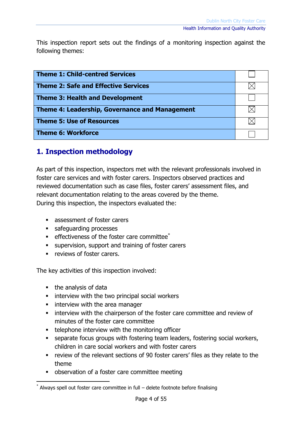This inspection report sets out the findings of a monitoring inspection against the following themes:

| Theme 1: Child-centred Services                |  |
|------------------------------------------------|--|
| Theme 2: Safe and Effective Services           |  |
| Theme 3: Health and Development                |  |
| Theme 4: Leadership, Governance and Management |  |
| Theme 5: Use of Resources                      |  |
| Theme 6: Workforce                             |  |

# **1. Inspection methodology**

As part of this inspection, inspectors met with the relevant professionals involved in foster care services and with foster carers. Inspectors observed practices and reviewed documentation such as case files, foster carers' assessment files, and relevant documentation relating to the areas covered by the theme. During this inspection, the inspectors evaluated the:

- **assessment of foster carers**
- safeguarding processes
- **effectiveness of the foster care committee**  $*$
- supervision, support and training of foster carers
- **•** reviews of foster carers.

The key activities of this inspection involved:

• the analysis of data

<u>.</u>

- **EXECT** interview with the two principal social workers
- **EXEC** interview with the area manager
- **EXECT** interview with the chairperson of the foster care committee and review of minutes of the foster care committee
- **EXECTE:** telephone interview with the monitoring officer
- separate focus groups with fostering team leaders, fostering social workers, children in care social workers and with foster carers
- review of the relevant sections of 90 foster carers' files as they relate to the theme
- observation of a foster care committee meeting

<sup>\*</sup> Always spell out foster care committee in full – delete footnote before finalising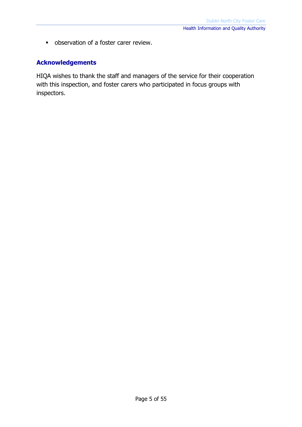observation of a foster carer review.

## **Acknowledgements**

HIQA wishes to thank the staff and managers of the service for their cooperation with this inspection, and foster carers who participated in focus groups with inspectors.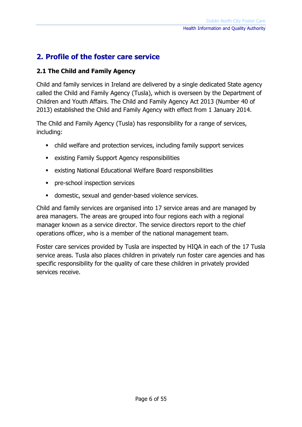# **2. Profile of the foster care service**

## **2.1 The Child and Family Agency**

Child and family services in Ireland are delivered by a single dedicated State agency called the Child and Family Agency (Tusla), which is overseen by the Department of Children and Youth Affairs. The Child and Family Agency Act 2013 (Number 40 of 2013) established the Child and Family Agency with effect from 1 January 2014.

The Child and Family Agency (Tusla) has responsibility for a range of services, including:

- child welfare and protection services, including family support services
- existing Family Support Agency responsibilities
- existing National Educational Welfare Board responsibilities
- **Paragele 1** pre-school inspection services
- domestic, sexual and gender-based violence services.

Child and family services are organised into 17 service areas and are managed by area managers. The areas are grouped into four regions each with a regional manager known as a service director. The service directors report to the chief operations officer, who is a member of the national management team.

Foster care services provided by Tusla are inspected by HIQA in each of the 17 Tusla service areas. Tusla also places children in privately run foster care agencies and has specific responsibility for the quality of care these children in privately provided services receive.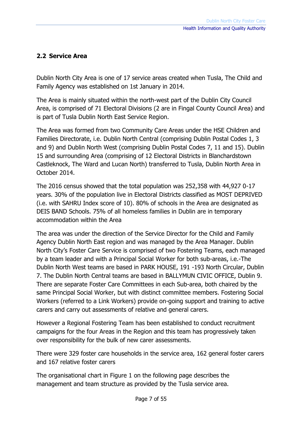## **2.2 Service Area**

Dublin North City Area is one of 17 service areas created when Tusla, The Child and Family Agency was established on 1st January in 2014.

The Area is mainly situated within the north-west part of the Dublin City Council Area, is comprised of 71 Electoral Divisions (2 are in Fingal County Council Area) and is part of Tusla Dublin North East Service Region.

The Area was formed from two Community Care Areas under the HSE Children and Families Directorate, i.e. Dublin North Central (comprising Dublin Postal Codes 1, 3 and 9) and Dublin North West (comprising Dublin Postal Codes 7, 11 and 15). Dublin 15 and surrounding Area (comprising of 12 Electoral Districts in Blanchardstown Castleknock, The Ward and Lucan North) transferred to Tusla, Dublin North Area in October 2014.

The 2016 census showed that the total population was 252,358 with 44,927 0-17 years. 30% of the population live in Electoral Districts classified as MOST DEPRIVED (i.e. with SAHRU Index score of 10). 80% of schools in the Area are designated as DEIS BAND Schools. 75% of all homeless families in Dublin are in temporary accommodation within the Area

The area was under the direction of the Service Director for the Child and Family Agency Dublin North East region and was managed by the Area Manager. Dublin North City's Foster Care Service is comprised of two Fostering Teams, each managed by a team leader and with a Principal Social Worker for both sub-areas, i.e.-The Dublin North West teams are based in PARK HOUSE, 191 -193 North Circular, Dublin 7. The Dublin North Central teams are based in BALLYMUN CIVIC OFFICE, Dublin 9. There are separate Foster Care Committees in each Sub-area, both chaired by the same Principal Social Worker, but with distinct committee members. Fostering Social Workers (referred to a Link Workers) provide on-going support and training to active carers and carry out assessments of relative and general carers.

However a Regional Fostering Team has been established to conduct recruitment campaigns for the four Areas in the Region and this team has progressively taken over responsibility for the bulk of new carer assessments.

There were 329 foster care households in the service area, 162 general foster carers and 167 relative foster carers

The organisational chart in Figure 1 on the following page describes the management and team structure as provided by the Tusla service area.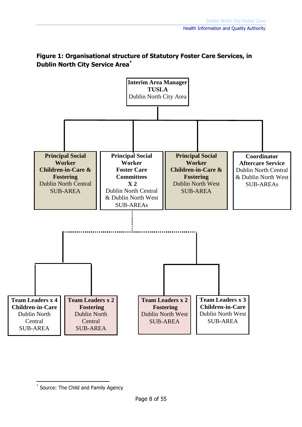

## **Figure 1: Organisational structure of Statutory Foster Care Services, in Dublin North City Service Area\***

<u>.</u>

<sup>\*</sup> Source: The Child and Family Agency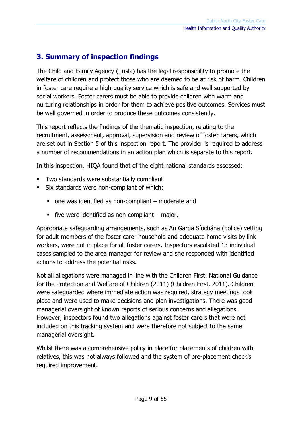# **3. Summary of inspection findings**

The Child and Family Agency (Tusla) has the legal responsibility to promote the welfare of children and protect those who are deemed to be at risk of harm. Children in foster care require a high-quality service which is safe and well supported by social workers. Foster carers must be able to provide children with warm and nurturing relationships in order for them to achieve positive outcomes. Services must be well governed in order to produce these outcomes consistently.

This report reflects the findings of the thematic inspection, relating to the recruitment, assessment, approval, supervision and review of foster carers, which are set out in Section 5 of this inspection report. The provider is required to address a number of recommendations in an action plan which is separate to this report.

In this inspection, HIQA found that of the eight national standards assessed:

- Two standards were substantially compliant
- Six standards were non-compliant of which:
	- one was identified as non-compliant moderate and
	- five were identified as non-compliant major.

Appropriate safeguarding arrangements, such as An Garda Síochána (police) vetting for adult members of the foster carer household and adequate home visits by link workers, were not in place for all foster carers. Inspectors escalated 13 individual cases sampled to the area manager for review and she responded with identified actions to address the potential risks.

Not all allegations were managed in line with the Children First: National Guidance for the Protection and Welfare of Children (2011) (Children First, 2011). Children were safeguarded where immediate action was required, strategy meetings took place and were used to make decisions and plan investigations. There was good managerial oversight of known reports of serious concerns and allegations. However, inspectors found two allegations against foster carers that were not included on this tracking system and were therefore not subject to the same managerial oversight.

Whilst there was a comprehensive policy in place for placements of children with relatives, this was not always followed and the system of pre-placement check's required improvement.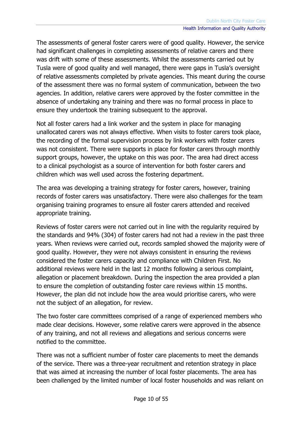The assessments of general foster carers were of good quality. However, the service had significant challenges in completing assessments of relative carers and there was drift with some of these assessments. Whilst the assessments carried out by Tusla were of good quality and well managed, there were gaps in Tusla's oversight of relative assessments completed by private agencies. This meant during the course of the assessment there was no formal system of communication, between the two agencies. In addition, relative carers were approved by the foster committee in the absence of undertaking any training and there was no formal process in place to ensure they undertook the training subsequent to the approval.

Not all foster carers had a link worker and the system in place for managing unallocated carers was not always effective. When visits to foster carers took place, the recording of the formal supervision process by link workers with foster carers was not consistent. There were supports in place for foster carers through monthly support groups, however, the uptake on this was poor. The area had direct access to a clinical psychologist as a source of intervention for both foster carers and children which was well used across the fostering department.

The area was developing a training strategy for foster carers, however, training records of foster carers was unsatisfactory. There were also challenges for the team organising training programes to ensure all foster carers attended and received appropriate training.

Reviews of foster carers were not carried out in line with the regularity required by the standards and 94% (304) of foster carers had not had a review in the past three years. When reviews were carried out, records sampled showed the majority were of good quality. However, they were not always consistent in ensuring the reviews considered the foster carers capacity and compliance with Children First. No additional reviews were held in the last 12 months following a serious complaint, allegation or placement breakdown. During the inspection the area provided a plan to ensure the completion of outstanding foster care reviews within 15 months. However, the plan did not include how the area would prioritise carers, who were not the subject of an allegation, for review.

The two foster care committees comprised of a range of experienced members who made clear decisions. However, some relative carers were approved in the absence of any training, and not all reviews and allegations and serious concerns were notified to the committee.

There was not a sufficient number of foster care placements to meet the demands of the service. There was a three-year recruitment and retention strategy in place that was aimed at increasing the number of local foster placements. The area has been challenged by the limited number of local foster households and was reliant on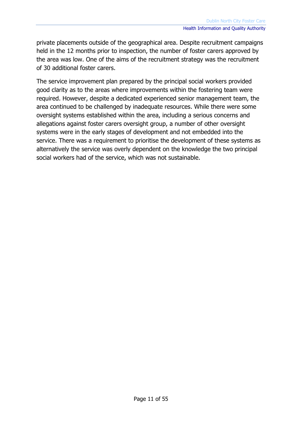private placements outside of the geographical area. Despite recruitment campaigns held in the 12 months prior to inspection, the number of foster carers approved by the area was low. One of the aims of the recruitment strategy was the recruitment of 30 additional foster carers.

The service improvement plan prepared by the principal social workers provided good clarity as to the areas where improvements within the fostering team were required. However, despite a dedicated experienced senior management team, the area continued to be challenged by inadequate resources. While there were some oversight systems established within the area, including a serious concerns and allegations against foster carers oversight group, a number of other oversight systems were in the early stages of development and not embedded into the service. There was a requirement to prioritise the development of these systems as alternatively the service was overly dependent on the knowledge the two principal social workers had of the service, which was not sustainable.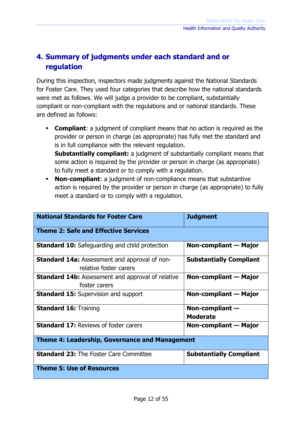# **4. Summary of judgments under each standard and or regulation**

During this inspection, inspectors made judgments against the National Standards for Foster Care. They used four categories that describe how the national standards were met as follows. We will judge a provider to be compliant, substantially compliant or non-compliant with the regulations and or national standards. These are defined as follows:

- **Compliant:** a judgment of compliant means that no action is required as the provider or person in charge (as appropriate) has fully met the standard and is in full compliance with the relevant regulation. **Substantially compliant:** a judgment of substantially compliant means that some action is required by the provider or person in charge (as appropriate) to fully meet a standard or to comply with a regulation.
- **Non-compliant**: a judgment of non-compliance means that substantive action is required by the provider or person in charge (as appropriate) to fully meet a standard or to comply with a regulation.

| <b>National Standards for Foster Care</b>                                      | <b>Judgment</b>                      |  |
|--------------------------------------------------------------------------------|--------------------------------------|--|
| <b>Theme 2: Safe and Effective Services</b>                                    |                                      |  |
| <b>Standard 10:</b> Safeguarding and child protection                          | Non-compliant — Major                |  |
| <b>Standard 14a: Assessment and approval of non-</b><br>relative foster carers | <b>Substantially Compliant</b>       |  |
| <b>Standard 14b:</b> Assessment and approval of relative<br>foster carers      | Non-compliant – Major                |  |
| <b>Standard 15:</b> Supervision and support                                    | Non-compliant — Major                |  |
| <b>Standard 16: Training</b>                                                   | Non-compliant $-$<br><b>Moderate</b> |  |
| <b>Standard 17: Reviews of foster carers</b>                                   | Non-compliant — Major                |  |
| <b>Theme 4: Leadership, Governance and Management</b>                          |                                      |  |
| <b>Standard 23: The Foster Care Committee</b>                                  | <b>Substantially Compliant</b>       |  |
| <b>Theme 5: Use of Resources</b>                                               |                                      |  |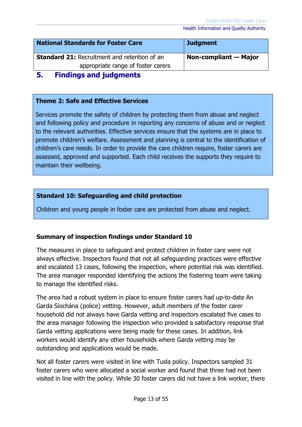Health Information and Quality Authority

| <b>National Standards for Foster Care</b>           | <b>Judgment</b>       |
|-----------------------------------------------------|-----------------------|
| <b>Standard 21: Recruitment and retention of an</b> | Non-compliant – Major |
| appropriate range of foster carers                  |                       |

# **5. Findings and judgments**

#### **Theme 2: Safe and Effective Services**

Services promote the safety of children by protecting them from abuse and neglect and following policy and procedure in reporting any concerns of abuse and or neglect to the relevant authorities. Effective services ensure that the systems are in place to promote children's welfare. Assessment and planning is central to the identification of children's care needs. In order to provide the care children require, foster carers are assessed, approved and supported. Each child receives the supports they require to maintain their wellbeing.

#### **Standard 10: Safeguarding and child protection**

Children and young people in foster care are protected from abuse and neglect.

#### **Summary of inspection findings under Standard 10**

The measures in place to safeguard and protect children in foster care were not always effective. Inspectors found that not all safeguarding practices were effective and escalated 13 cases, following the inspection, where potential risk was identified. The area manager responded identifying the actions the fostering team were taking to manage the identified risks.

The area had a robust system in place to ensure foster carers had up-to-date An Garda Síochána (police) vetting. However, adult members of the foster carer household did not always have Garda vetting and inspectors escalated five cases to the area manager following the inspection who provided a satisfactory response that Garda vetting applications were being made for these cases. In addition, link workers would identify any other households where Garda vetting may be outstanding and applications would be made.

Not all foster carers were visited in line with Tusla policy. Inspectors sampled 31 foster carers who were allocated a social worker and found that three had not been visited in line with the policy. While 30 foster carers did not have a link worker, there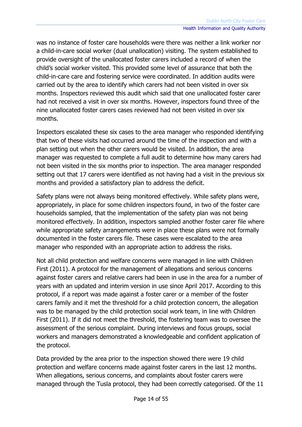was no instance of foster care households were there was neither a link worker nor a child-in-care social worker (dual unallocation) visiting. The system established to provide oversight of the unallocated foster carers included a record of when the child's social worker visited. This provided some level of assurance that both the child-in-care care and fostering service were coordinated. In addition audits were carried out by the area to identify which carers had not been visited in over six months. Inspectors reviewed this audit which said that one unallocated foster carer had not received a visit in over six months. However, inspectors found three of the nine unallocated foster carers cases reviewed had not been visited in over six months.

Inspectors escalated these six cases to the area manager who responded identifying that two of these visits had occurred around the time of the inspection and with a plan setting out when the other carers would be visited. In addition, the area manager was requested to complete a full audit to determine how many carers had not been visited in the six months prior to inspection. The area manager responded setting out that 17 carers were identified as not having had a visit in the previous six months and provided a satisfactory plan to address the deficit.

Safety plans were not always being monitored effectively. While safety plans were, appropriately, in place for some children inspectors found, in two of the foster care households sampled, that the implementation of the safety plan was not being monitored effectively. In addition, inspectors sampled another foster carer file where while appropriate safety arrangements were in place these plans were not formally documented in the foster carers file. These cases were escalated to the area manager who responded with an appropriate action to address the risks.

Not all child protection and welfare concerns were managed in line with Children First (2011). A protocol for the management of allegations and serious concerns against foster carers and relative carers had been in use in the area for a number of years with an updated and interim version in use since April 2017. According to this protocol, if a report was made against a foster carer or a member of the foster carers family and it met the threshold for a child protection concern, the allegation was to be managed by the child protection social work team, in line with Children First (2011). If it did not meet the threshold, the fostering team was to oversee the assessment of the serious complaint. During interviews and focus groups, social workers and managers demonstrated a knowledgeable and confident application of the protocol.

Data provided by the area prior to the inspection showed there were 19 child protection and welfare concerns made against foster carers in the last 12 months. When allegations, serious concerns, and complaints about foster carers were managed through the Tusla protocol, they had been correctly categorised. Of the 11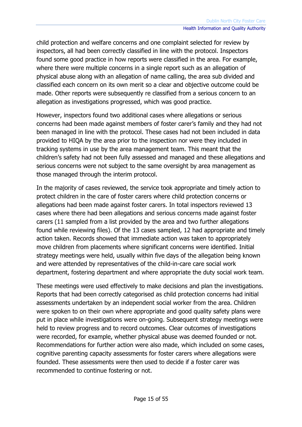child protection and welfare concerns and one complaint selected for review by inspectors, all had been correctly classified in line with the protocol. Inspectors found some good practice in how reports were classified in the area. For example, where there were multiple concerns in a single report such as an allegation of physical abuse along with an allegation of name calling, the area sub divided and classified each concern on its own merit so a clear and objective outcome could be made. Other reports were subsequently re classified from a serious concern to an allegation as investigations progressed, which was good practice.

However, inspectors found two additional cases where allegations or serious concerns had been made against members of foster carer's family and they had not been managed in line with the protocol. These cases had not been included in data provided to HIQA by the area prior to the inspection nor were they included in tracking systems in use by the area management team. This meant that the children's safety had not been fully assessed and managed and these allegations and serious concerns were not subject to the same oversight by area management as those managed through the interim protocol.

In the majority of cases reviewed, the service took appropriate and timely action to protect children in the care of foster carers where child protection concerns or allegations had been made against foster carers. In total inspectors reviewed 13 cases where there had been allegations and serious concerns made against foster carers (11 sampled from a list provided by the area and two further allegations found while reviewing files). Of the 13 cases sampled, 12 had appropriate and timely action taken. Records showed that immediate action was taken to appropriately move children from placements where significant concerns were identified. Initial strategy meetings were held, usually within five days of the allegation being known and were attended by representatives of the child-in-care care social work department, fostering department and where appropriate the duty social work team.

These meetings were used effectively to make decisions and plan the investigations. Reports that had been correctly categorised as child protection concerns had initial assessments undertaken by an independent social worker from the area. Children were spoken to on their own where appropriate and good quality safety plans were put in place while investigations were on-going. Subsequent strategy meetings were held to review progress and to record outcomes. Clear outcomes of investigations were recorded, for example, whether physical abuse was deemed founded or not. Recommendations for further action were also made, which included on some cases, cognitive parenting capacity assessments for foster carers where allegations were founded. These assessments were then used to decide if a foster carer was recommended to continue fostering or not.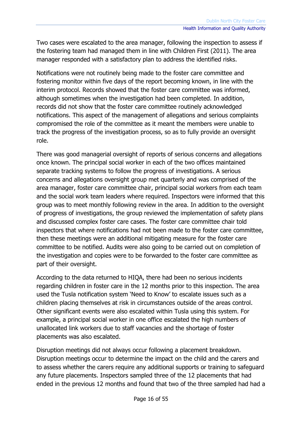Two cases were escalated to the area manager, following the inspection to assess if the fostering team had managed them in line with Children First (2011). The area manager responded with a satisfactory plan to address the identified risks.

Notifications were not routinely being made to the foster care committee and fostering monitor within five days of the report becoming known, in line with the interim protocol. Records showed that the foster care committee was informed, although sometimes when the investigation had been completed. In addition, records did not show that the foster care committee routinely acknowledged notifications. This aspect of the management of allegations and serious complaints compromised the role of the committee as it meant the members were unable to track the progress of the investigation process, so as to fully provide an oversight role.

There was good managerial oversight of reports of serious concerns and allegations once known. The principal social worker in each of the two offices maintained separate tracking systems to follow the progress of investigations. A serious concerns and allegations oversight group met quarterly and was comprised of the area manager, foster care committee chair, principal social workers from each team and the social work team leaders where required. Inspectors were informed that this group was to meet monthly following review in the area. In addition to the oversight of progress of investigations, the group reviewed the implementation of safety plans and discussed complex foster care cases. The foster care committee chair told inspectors that where notifications had not been made to the foster care committee, then these meetings were an additional mitigating measure for the foster care committee to be notified. Audits were also going to be carried out on completion of the investigation and copies were to be forwarded to the foster care committee as part of their oversight.

According to the data returned to HIQA, there had been no serious incidents regarding children in foster care in the 12 months prior to this inspection. The area used the Tusla notification system 'Need to Know' to escalate issues such as a children placing themselves at risk in circumstances outside of the areas control. Other significant events were also escalated within Tusla using this system. For example, a principal social worker in one office escalated the high numbers of unallocated link workers due to staff vacancies and the shortage of foster placements was also escalated.

Disruption meetings did not always occur following a placement breakdown. Disruption meetings occur to determine the impact on the child and the carers and to assess whether the carers require any additional supports or training to safeguard any future placements. Inspectors sampled three of the 12 placements that had ended in the previous 12 months and found that two of the three sampled had had a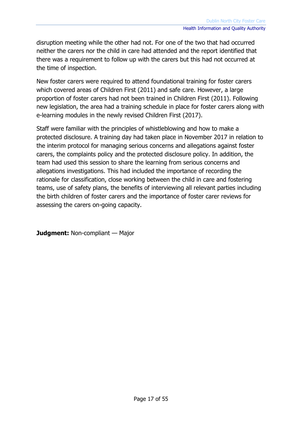disruption meeting while the other had not. For one of the two that had occurred neither the carers nor the child in care had attended and the report identified that there was a requirement to follow up with the carers but this had not occurred at the time of inspection.

New foster carers were required to attend foundational training for foster carers which covered areas of Children First (2011) and safe care. However, a large proportion of foster carers had not been trained in Children First (2011). Following new legislation, the area had a training schedule in place for foster carers along with e-learning modules in the newly revised Children First (2017).

Staff were familiar with the principles of whistleblowing and how to make a protected disclosure. A training day had taken place in November 2017 in relation to the interim protocol for managing serious concerns and allegations against foster carers, the complaints policy and the protected disclosure policy. In addition, the team had used this session to share the learning from serious concerns and allegations investigations. This had included the importance of recording the rationale for classification, close working between the child in care and fostering teams, use of safety plans, the benefits of interviewing all relevant parties including the birth children of foster carers and the importance of foster carer reviews for assessing the carers on-going capacity.

**Judgment:** Non-compliant — Major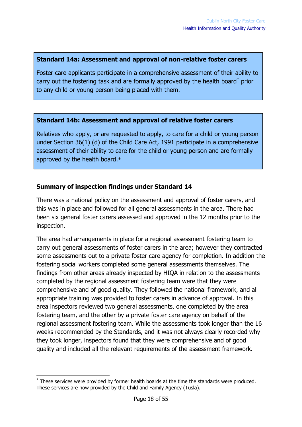#### **Standard 14a: Assessment and approval of non-relative foster carers**

<span id="page-17-0"></span>Foster care applicants participate in a comprehensive assessment of their ability to carry out the fostering task and are formally approved by the health board<sup>\*</sup> prior to any child or young person being placed with them.

#### **Standard 14b: Assessment and approval of relative foster carers**

Relatives who apply, or are requested to apply, to care for a child or young person under Section 36(1) (d) of the Child Care Act, 1991 participate in a comprehensive assessment of their ability to care for the child or young person and are formally approved by the health board.[\\*](#page-17-0)

#### **Summary of inspection findings under Standard 14**

There was a national policy on the assessment and approval of foster carers, and this was in place and followed for all general assessments in the area. There had been six general foster carers assessed and approved in the 12 months prior to the inspection.

The area had arrangements in place for a regional assessment fostering team to carry out general assessments of foster carers in the area; however they contracted some assessments out to a private foster care agency for completion. In addition the fostering social workers completed some general assessments themselves. The findings from other areas already inspected by HIQA in relation to the assessments completed by the regional assessment fostering team were that they were comprehensive and of good quality. They followed the national framework, and all appropriate training was provided to foster carers in advance of approval. In this area inspectors reviewed two general assessments, one completed by the area fostering team, and the other by a private foster care agency on behalf of the regional assessment fostering team. While the assessments took longer than the 16 weeks recommended by the Standards, and it was not always clearly recorded why they took longer, inspectors found that they were comprehensive and of good quality and included all the relevant requirements of the assessment framework.

<sup>&</sup>lt;u>.</u> \* These services were provided by former health boards at the time the standards were produced. These services are now provided by the Child and Family Agency (Tusla).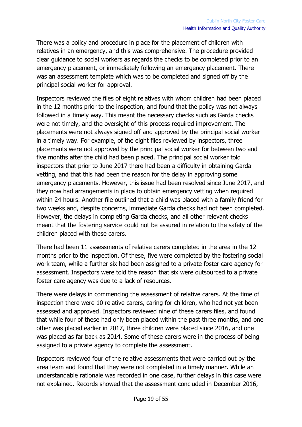There was a policy and procedure in place for the placement of children with relatives in an emergency, and this was comprehensive. The procedure provided clear guidance to social workers as regards the checks to be completed prior to an emergency placement, or immediately following an emergency placement. There was an assessment template which was to be completed and signed off by the principal social worker for approval.

Inspectors reviewed the files of eight relatives with whom children had been placed in the 12 months prior to the inspection, and found that the policy was not always followed in a timely way. This meant the necessary checks such as Garda checks were not timely, and the oversight of this process required improvement. The placements were not always signed off and approved by the principal social worker in a timely way. For example, of the eight files reviewed by inspectors, three placements were not approved by the principal social worker for between two and five months after the child had been placed. The principal social worker told inspectors that prior to June 2017 there had been a difficulty in obtaining Garda vetting, and that this had been the reason for the delay in approving some emergency placements. However, this issue had been resolved since June 2017, and they now had arrangements in place to obtain emergency vetting when required within 24 hours. Another file outlined that a child was placed with a family friend for two weeks and, despite concerns, immediate Garda checks had not been completed. However, the delays in completing Garda checks, and all other relevant checks meant that the fostering service could not be assured in relation to the safety of the children placed with these carers.

There had been 11 assessments of relative carers completed in the area in the 12 months prior to the inspection. Of these, five were completed by the fostering social work team, while a further six had been assigned to a private foster care agency for assessment. Inspectors were told the reason that six were outsourced to a private foster care agency was due to a lack of resources.

There were delays in commencing the assessment of relative carers. At the time of inspection there were 10 relative carers, caring for children, who had not yet been assessed and approved. Inspectors reviewed nine of these carers files, and found that while four of these had only been placed within the past three months, and one other was placed earlier in 2017, three children were placed since 2016, and one was placed as far back as 2014. Some of these carers were in the process of being assigned to a private agency to complete the assessment.

Inspectors reviewed four of the relative assessments that were carried out by the area team and found that they were not completed in a timely manner. While an understandable rationale was recorded in one case, further delays in this case were not explained. Records showed that the assessment concluded in December 2016,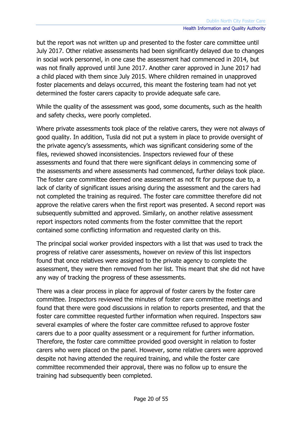but the report was not written up and presented to the foster care committee until July 2017. Other relative assessments had been significantly delayed due to changes in social work personnel, in one case the assessment had commenced in 2014, but was not finally approved until June 2017. Another carer approved in June 2017 had a child placed with them since July 2015. Where children remained in unapproved foster placements and delays occurred, this meant the fostering team had not yet determined the foster carers capacity to provide adequate safe care.

While the quality of the assessment was good, some documents, such as the health and safety checks, were poorly completed.

Where private assessments took place of the relative carers, they were not always of good quality. In addition, Tusla did not put a system in place to provide oversight of the private agency's assessments, which was significant considering some of the files, reviewed showed inconsistencies. Inspectors reviewed four of these assessments and found that there were significant delays in commencing some of the assessments and where assessments had commenced, further delays took place. The foster care committee deemed one assessment as not fit for purpose due to, a lack of clarity of significant issues arising during the assessment and the carers had not completed the training as required. The foster care committee therefore did not approve the relative carers when the first report was presented. A second report was subsequently submitted and approved. Similarly, on another relative assessment report inspectors noted comments from the foster committee that the report contained some conflicting information and requested clarity on this.

The principal social worker provided inspectors with a list that was used to track the progress of relative carer assessments, however on review of this list inspectors found that once relatives were assigned to the private agency to complete the assessment, they were then removed from her list. This meant that she did not have any way of tracking the progress of these assessments.

There was a clear process in place for approval of foster carers by the foster care committee. Inspectors reviewed the minutes of foster care committee meetings and found that there were good discussions in relation to reports presented, and that the foster care committee requested further information when required. Inspectors saw several examples of where the foster care committee refused to approve foster carers due to a poor quality assessment or a requirement for further information. Therefore, the foster care committee provided good oversight in relation to foster carers who were placed on the panel. However, some relative carers were approved despite not having attended the required training, and while the foster care committee recommended their approval, there was no follow up to ensure the training had subsequently been completed.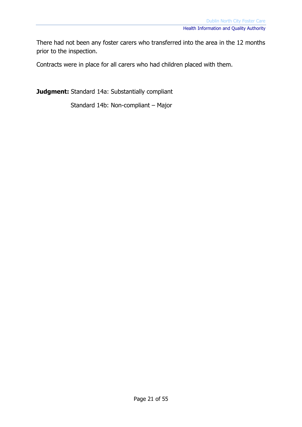There had not been any foster carers who transferred into the area in the 12 months prior to the inspection.

Contracts were in place for all carers who had children placed with them.

**Judgment:** Standard 14a: Substantially compliant

Standard 14b: Non-compliant – Major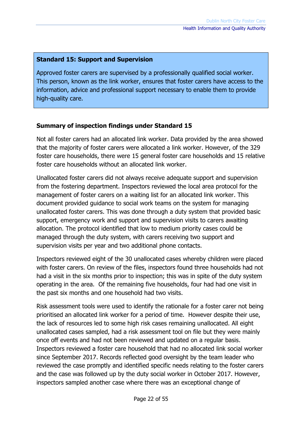#### **Standard 15: Support and Supervision**

Approved foster carers are supervised by a professionally qualified social worker. This person, known as the link worker, ensures that foster carers have access to the information, advice and professional support necessary to enable them to provide high-quality care.

#### **Summary of inspection findings under Standard 15**

Not all foster carers had an allocated link worker. Data provided by the area showed that the majority of foster carers were allocated a link worker. However, of the 329 foster care households, there were 15 general foster care households and 15 relative foster care households without an allocated link worker.

Unallocated foster carers did not always receive adequate support and supervision from the fostering department. Inspectors reviewed the local area protocol for the management of foster carers on a waiting list for an allocated link worker. This document provided guidance to social work teams on the system for managing unallocated foster carers. This was done through a duty system that provided basic support, emergency work and support and supervision visits to carers awaiting allocation. The protocol identified that low to medium priority cases could be managed through the duty system, with carers receiving two support and supervision visits per year and two additional phone contacts.

Inspectors reviewed eight of the 30 unallocated cases whereby children were placed with foster carers. On review of the files, inspectors found three households had not had a visit in the six months prior to inspection; this was in spite of the duty system operating in the area. Of the remaining five households, four had had one visit in the past six months and one household had two visits.

Risk assessment tools were used to identify the rationale for a foster carer not being prioritised an allocated link worker for a period of time. However despite their use, the lack of resources led to some high risk cases remaining unallocated. All eight unallocated cases sampled, had a risk assessment tool on file but they were mainly once off events and had not been reviewed and updated on a regular basis. Inspectors reviewed a foster care household that had no allocated link social worker since September 2017. Records reflected good oversight by the team leader who reviewed the case promptly and identified specific needs relating to the foster carers and the case was followed up by the duty social worker in October 2017. However, inspectors sampled another case where there was an exceptional change of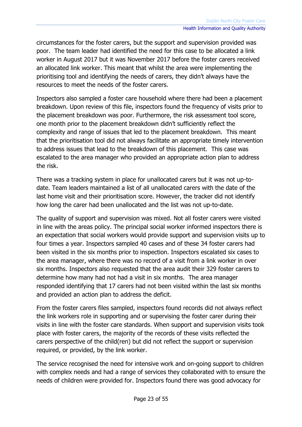circumstances for the foster carers, but the support and supervision provided was poor. The team leader had identified the need for this case to be allocated a link worker in August 2017 but it was November 2017 before the foster carers received an allocated link worker. This meant that whilst the area were implementing the prioritising tool and identifying the needs of carers, they didn't always have the resources to meet the needs of the foster carers.

Inspectors also sampled a foster care household where there had been a placement breakdown. Upon review of this file, inspectors found the frequency of visits prior to the placement breakdown was poor. Furthermore, the risk assessment tool score, one month prior to the placement breakdown didn't sufficiently reflect the complexity and range of issues that led to the placement breakdown. This meant that the prioritisation tool did not always facilitate an appropriate timely intervention to address issues that lead to the breakdown of this placement. This case was escalated to the area manager who provided an appropriate action plan to address the risk.

There was a tracking system in place for unallocated carers but it was not up-todate. Team leaders maintained a list of all unallocated carers with the date of the last home visit and their prioritisation score. However, the tracker did not identify how long the carer had been unallocated and the list was not up-to-date.

The quality of support and supervision was mixed. Not all foster carers were visited in line with the areas policy. The principal social worker informed inspectors there is an expectation that social workers would provide support and supervision visits up to four times a year. Inspectors sampled 40 cases and of these 34 foster carers had been visited in the six months prior to inspection. Inspectors escalated six cases to the area manager, where there was no record of a visit from a link worker in over six months. Inspectors also requested that the area audit their 329 foster carers to determine how many had not had a visit in six months. The area manager responded identifying that 17 carers had not been visited within the last six months and provided an action plan to address the deficit.

From the foster carers files sampled, inspectors found records did not always reflect the link workers role in supporting and or supervising the foster carer during their visits in line with the foster care standards. When support and supervision visits took place with foster carers, the majority of the records of these visits reflected the carers perspective of the child(ren) but did not reflect the support or supervision required, or provided, by the link worker.

The service recognised the need for intensive work and on-going support to children with complex needs and had a range of services they collaborated with to ensure the needs of children were provided for. Inspectors found there was good advocacy for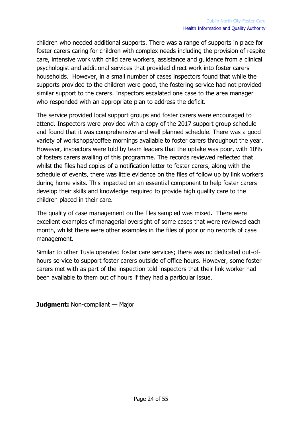children who needed additional supports. There was a range of supports in place for foster carers caring for children with complex needs including the provision of respite care, intensive work with child care workers, assistance and guidance from a clinical psychologist and additional services that provided direct work into foster carers households. However, in a small number of cases inspectors found that while the supports provided to the children were good, the fostering service had not provided similar support to the carers. Inspectors escalated one case to the area manager who responded with an appropriate plan to address the deficit.

The service provided local support groups and foster carers were encouraged to attend. Inspectors were provided with a copy of the 2017 support group schedule and found that it was comprehensive and well planned schedule. There was a good variety of workshops/coffee mornings available to foster carers throughout the year. However, inspectors were told by team leaders that the uptake was poor, with 10% of fosters carers availing of this programme. The records reviewed reflected that whilst the files had copies of a notification letter to foster carers, along with the schedule of events, there was little evidence on the files of follow up by link workers during home visits. This impacted on an essential component to help foster carers develop their skills and knowledge required to provide high quality care to the children placed in their care.

The quality of case management on the files sampled was mixed. There were excellent examples of managerial oversight of some cases that were reviewed each month, whilst there were other examples in the files of poor or no records of case management.

Similar to other Tusla operated foster care services; there was no dedicated out-ofhours service to support foster carers outside of office hours. However, some foster carers met with as part of the inspection told inspectors that their link worker had been available to them out of hours if they had a particular issue.

**Judgment:** Non-compliant — Major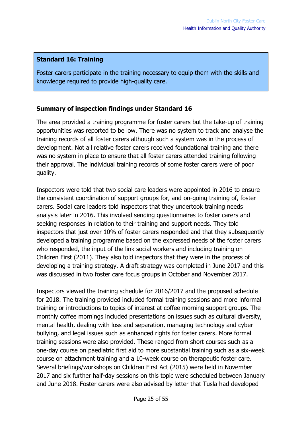#### **Standard 16: Training**

Foster carers participate in the training necessary to equip them with the skills and knowledge required to provide high-quality care.

## **Summary of inspection findings under Standard 16**

The area provided a training programme for foster carers but the take-up of training opportunities was reported to be low. There was no system to track and analyse the training records of all foster carers although such a system was in the process of development. Not all relative foster carers received foundational training and there was no system in place to ensure that all foster carers attended training following their approval. The individual training records of some foster carers were of poor quality.

Inspectors were told that two social care leaders were appointed in 2016 to ensure the consistent coordination of support groups for, and on-going training of, foster carers. Social care leaders told inspectors that they undertook training needs analysis later in 2016. This involved sending questionnaires to foster carers and seeking responses in relation to their training and support needs. They told inspectors that just over 10% of foster carers responded and that they subsequently developed a training programme based on the expressed needs of the foster carers who responded, the input of the link social workers and including training on Children First (2011). They also told inspectors that they were in the process of developing a training strategy. A draft strategy was completed in June 2017 and this was discussed in two foster care focus groups in October and November 2017.

Inspectors viewed the training schedule for 2016/2017 and the proposed schedule for 2018. The training provided included formal training sessions and more informal training or introductions to topics of interest at coffee morning support groups. The monthly coffee mornings included presentations on issues such as cultural diversity, mental health, dealing with loss and separation, managing technology and cyber bullying, and legal issues such as enhanced rights for foster carers. More formal training sessions were also provided. These ranged from short courses such as a one-day course on paediatric first aid to more substantial training such as a six-week course on attachment training and a 10-week course on therapeutic foster care. Several briefings/workshops on Children First Act (2015) were held in November 2017 and six further half-day sessions on this topic were scheduled between January and June 2018. Foster carers were also advised by letter that Tusla had developed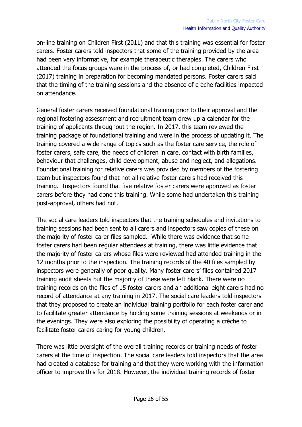on-line training on Children First (2011) and that this training was essential for foster carers. Foster carers told inspectors that some of the training provided by the area had been very informative, for example therapeutic therapies. The carers who attended the focus groups were in the process of, or had completed, Children First (2017) training in preparation for becoming mandated persons. Foster carers said that the timing of the training sessions and the absence of crèche facilities impacted on attendance.

General foster carers received foundational training prior to their approval and the regional fostering assessment and recruitment team drew up a calendar for the training of applicants throughout the region. In 2017, this team reviewed the training package of foundational training and were in the process of updating it. The training covered a wide range of topics such as the foster care service, the role of foster carers, safe care, the needs of children in care, contact with birth families, behaviour that challenges, child development, abuse and neglect, and allegations. Foundational training for relative carers was provided by members of the fostering team but inspectors found that not all relative foster carers had received this training. Inspectors found that five relative foster carers were approved as foster carers before they had done this training. While some had undertaken this training post-approval, others had not.

The social care leaders told inspectors that the training schedules and invitations to training sessions had been sent to all carers and inspectors saw copies of these on the majority of foster carer files sampled. While there was evidence that some foster carers had been regular attendees at training, there was little evidence that the majority of foster carers whose files were reviewed had attended training in the 12 months prior to the inspection. The training records of the 40 files sampled by inspectors were generally of poor quality. Many foster carers' files contained 2017 training audit sheets but the majority of these were left blank. There were no training records on the files of 15 foster carers and an additional eight carers had no record of attendance at any training in 2017. The social care leaders told inspectors that they proposed to create an individual training portfolio for each foster carer and to facilitate greater attendance by holding some training sessions at weekends or in the evenings. They were also exploring the possibility of operating a crèche to facilitate foster carers caring for young children.

There was little oversight of the overall training records or training needs of foster carers at the time of inspection. The social care leaders told inspectors that the area had created a database for training and that they were working with the information officer to improve this for 2018. However, the individual training records of foster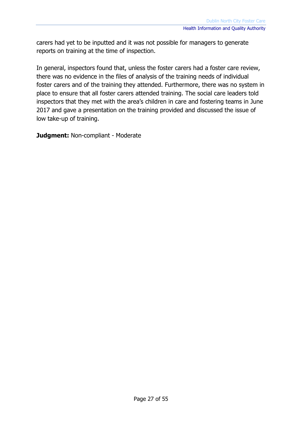carers had yet to be inputted and it was not possible for managers to generate reports on training at the time of inspection.

In general, inspectors found that, unless the foster carers had a foster care review, there was no evidence in the files of analysis of the training needs of individual foster carers and of the training they attended. Furthermore, there was no system in place to ensure that all foster carers attended training. The social care leaders told inspectors that they met with the area's children in care and fostering teams in June 2017 and gave a presentation on the training provided and discussed the issue of low take-up of training.

**Judgment:** Non-compliant - Moderate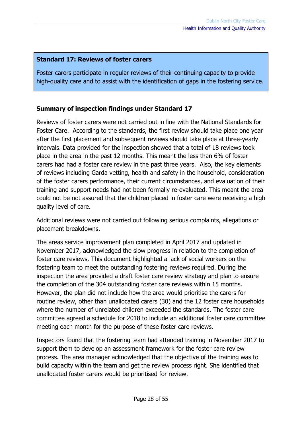#### **Standard 17: Reviews of foster carers**

Foster carers participate in regular reviews of their continuing capacity to provide high-quality care and to assist with the identification of gaps in the fostering service.

#### **Summary of inspection findings under Standard 17**

Reviews of foster carers were not carried out in line with the National Standards for Foster Care. According to the standards, the first review should take place one year after the first placement and subsequent reviews should take place at three-yearly intervals. Data provided for the inspection showed that a total of 18 reviews took place in the area in the past 12 months. This meant the less than 6% of foster carers had had a foster care review in the past three years. Also, the key elements of reviews including Garda vetting, health and safety in the household, consideration of the foster carers performance, their current circumstances, and evaluation of their training and support needs had not been formally re-evaluated. This meant the area could not be not assured that the children placed in foster care were receiving a high quality level of care.

Additional reviews were not carried out following serious complaints, allegations or placement breakdowns.

The areas service improvement plan completed in April 2017 and updated in November 2017, acknowledged the slow progress in relation to the completion of foster care reviews. This document highlighted a lack of social workers on the fostering team to meet the outstanding fostering reviews required. During the inspection the area provided a draft foster care review strategy and plan to ensure the completion of the 304 outstanding foster care reviews within 15 months. However, the plan did not include how the area would prioritise the carers for routine review, other than unallocated carers (30) and the 12 foster care households where the number of unrelated children exceeded the standards. The foster care committee agreed a schedule for 2018 to include an additional foster care committee meeting each month for the purpose of these foster care reviews.

Inspectors found that the fostering team had attended training in November 2017 to support them to develop an assessment framework for the foster care review process. The area manager acknowledged that the objective of the training was to build capacity within the team and get the review process right. She identified that unallocated foster carers would be prioritised for review.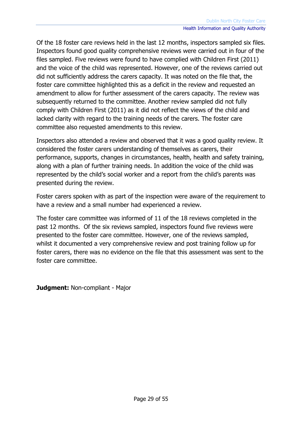Of the 18 foster care reviews held in the last 12 months, inspectors sampled six files. Inspectors found good quality comprehensive reviews were carried out in four of the files sampled. Five reviews were found to have complied with Children First (2011) and the voice of the child was represented. However, one of the reviews carried out did not sufficiently address the carers capacity. It was noted on the file that, the foster care committee highlighted this as a deficit in the review and requested an amendment to allow for further assessment of the carers capacity. The review was subsequently returned to the committee. Another review sampled did not fully comply with Children First (2011) as it did not reflect the views of the child and lacked clarity with regard to the training needs of the carers. The foster care committee also requested amendments to this review.

Inspectors also attended a review and observed that it was a good quality review. It considered the foster carers understanding of themselves as carers, their performance, supports, changes in circumstances, health, health and safety training, along with a plan of further training needs. In addition the voice of the child was represented by the child's social worker and a report from the child's parents was presented during the review.

Foster carers spoken with as part of the inspection were aware of the requirement to have a review and a small number had experienced a review.

The foster care committee was informed of 11 of the 18 reviews completed in the past 12 months. Of the six reviews sampled, inspectors found five reviews were presented to the foster care committee. However, one of the reviews sampled, whilst it documented a very comprehensive review and post training follow up for foster carers, there was no evidence on the file that this assessment was sent to the foster care committee.

**Judgment:** Non-compliant - Major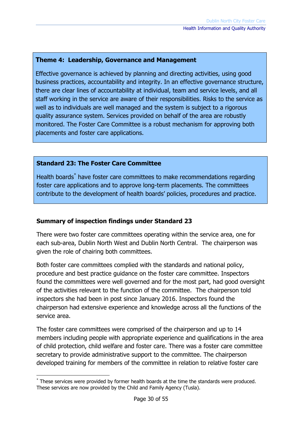#### **Theme 4: Leadership, Governance and Management**

Effective governance is achieved by planning and directing activities, using good business practices, accountability and integrity. In an effective governance structure, there are clear lines of accountability at individual, team and service levels, and all staff working in the service are aware of their responsibilities. Risks to the service as well as to individuals are well managed and the system is subject to a rigorous quality assurance system. Services provided on behalf of the area are robustly monitored. The Foster Care Committee is a robust mechanism for approving both placements and foster care applications.

#### **Standard 23: The Foster Care Committee**

Health boards<sup>\*</sup> have foster care committees to make recommendations regarding foster care applications and to approve long-term placements. The committees contribute to the development of health boards' policies, procedures and practice.

## **Summary of inspection findings under Standard 23**

There were two foster care committees operating within the service area, one for each sub-area, Dublin North West and Dublin North Central. The chairperson was given the role of chairing both committees.

Both foster care committees complied with the standards and national policy, procedure and best practice guidance on the foster care committee. Inspectors found the committees were well governed and for the most part, had good oversight of the activities relevant to the function of the committee. The chairperson told inspectors she had been in post since January 2016. Inspectors found the chairperson had extensive experience and knowledge across all the functions of the service area.

The foster care committees were comprised of the chairperson and up to 14 members including people with appropriate experience and qualifications in the area of child protection, child welfare and foster care. There was a foster care committee secretary to provide administrative support to the committee. The chairperson developed training for members of the committee in relation to relative foster care

<sup>&</sup>lt;u>.</u> \* These services were provided by former health boards at the time the standards were produced. These services are now provided by the Child and Family Agency (Tusla).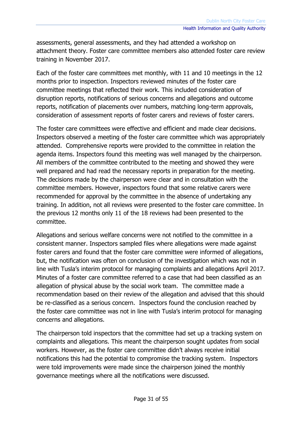assessments, general assessments, and they had attended a workshop on attachment theory. Foster care committee members also attended foster care review training in November 2017.

Each of the foster care committees met monthly, with 11 and 10 meetings in the 12 months prior to inspection. Inspectors reviewed minutes of the foster care committee meetings that reflected their work. This included consideration of disruption reports, notifications of serious concerns and allegations and outcome reports, notification of placements over numbers, matching long-term approvals, consideration of assessment reports of foster carers and reviews of foster carers.

The foster care committees were effective and efficient and made clear decisions. Inspectors observed a meeting of the foster care committee which was appropriately attended. Comprehensive reports were provided to the committee in relation the agenda items. Inspectors found this meeting was well managed by the chairperson. All members of the committee contributed to the meeting and showed they were well prepared and had read the necessary reports in preparation for the meeting. The decisions made by the chairperson were clear and in consultation with the committee members. However, inspectors found that some relative carers were recommended for approval by the committee in the absence of undertaking any training. In addition, not all reviews were presented to the foster care committee. In the previous 12 months only 11 of the 18 reviews had been presented to the committee.

Allegations and serious welfare concerns were not notified to the committee in a consistent manner. Inspectors sampled files where allegations were made against foster carers and found that the foster care committee were informed of allegations, but, the notification was often on conclusion of the investigation which was not in line with Tusla's interim protocol for managing complaints and allegations April 2017. Minutes of a foster care committee referred to a case that had been classified as an allegation of physical abuse by the social work team. The committee made a recommendation based on their review of the allegation and advised that this should be re-classified as a serious concern. Inspectors found the conclusion reached by the foster care committee was not in line with Tusla's interim protocol for managing concerns and allegations.

The chairperson told inspectors that the committee had set up a tracking system on complaints and allegations. This meant the chairperson sought updates from social workers. However, as the foster care committee didn't always receive initial notifications this had the potential to compromise the tracking system. Inspectors were told improvements were made since the chairperson joined the monthly governance meetings where all the notifications were discussed.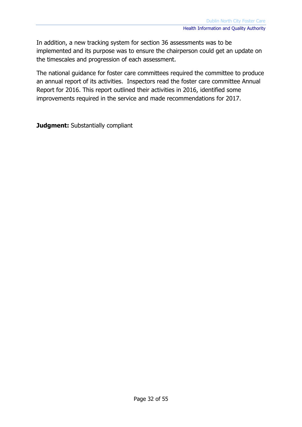In addition, a new tracking system for section 36 assessments was to be implemented and its purpose was to ensure the chairperson could get an update on the timescales and progression of each assessment.

The national guidance for foster care committees required the committee to produce an annual report of its activities. Inspectors read the foster care committee Annual Report for 2016. This report outlined their activities in 2016, identified some improvements required in the service and made recommendations for 2017.

**Judgment: Substantially compliant**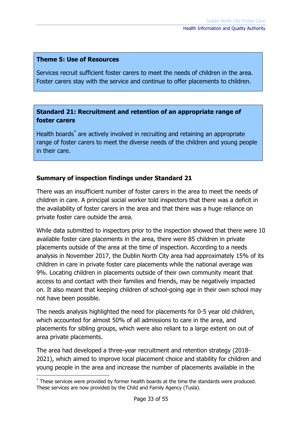#### **Theme 5: Use of Resources**

<u>.</u>

Services recruit sufficient foster carers to meet the needs of children in the area. Foster carers stay with the service and continue to offer placements to children.

## **Standard 21: Recruitment and retention of an appropriate range of foster carers**

Health boards<sup>\*</sup> are actively involved in recruiting and retaining an appropriate range of foster carers to meet the diverse needs of the children and young people in their care.

#### **Summary of inspection findings under Standard 21**

There was an insufficient number of foster carers in the area to meet the needs of children in care. A principal social worker told inspectors that there was a deficit in the availability of foster carers in the area and that there was a huge reliance on private foster care outside the area.

While data submitted to inspectors prior to the inspection showed that there were 10 available foster care placements in the area, there were 85 children in private placements outside of the area at the time of inspection. According to a needs analysis in November 2017, the Dublin North City area had approximately 15% of its children in care in private foster care placements while the national average was 9%. Locating children in placements outside of their own community meant that access to and contact with their families and friends, may be negatively impacted on. It also meant that keeping children of school-going age in their own school may not have been possible.

The needs analysis highlighted the need for placements for 0-5 year old children, which accounted for almost 50% of all admissions to care in the area, and placements for sibling groups, which were also reliant to a large extent on out of area private placements.

The area had developed a three-year recruitment and retention strategy (2018- 2021), which aimed to improve local placement choice and stability for children and young people in the area and increase the number of placements available in the

<sup>\*</sup> These services were provided by former health boards at the time the standards were produced. These services are now provided by the Child and Family Agency (Tusla).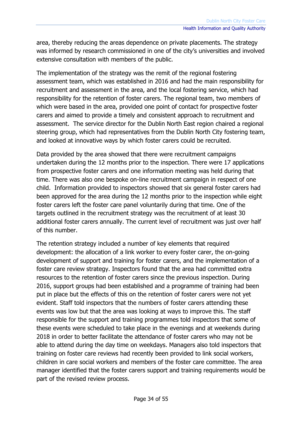area, thereby reducing the areas dependence on private placements. The strategy was informed by research commissioned in one of the city's universities and involved extensive consultation with members of the public.

The implementation of the strategy was the remit of the regional fostering assessment team, which was established in 2016 and had the main responsibility for recruitment and assessment in the area, and the local fostering service, which had responsibility for the retention of foster carers. The regional team, two members of which were based in the area, provided one point of contact for prospective foster carers and aimed to provide a timely and consistent approach to recruitment and assessment. The service director for the Dublin North East region chaired a regional steering group, which had representatives from the Dublin North City fostering team, and looked at innovative ways by which foster carers could be recruited.

Data provided by the area showed that there were recruitment campaigns undertaken during the 12 months prior to the inspection. There were 17 applications from prospective foster carers and one information meeting was held during that time. There was also one bespoke on-line recruitment campaign in respect of one child. Information provided to inspectors showed that six general foster carers had been approved for the area during the 12 months prior to the inspection while eight foster carers left the foster care panel voluntarily during that time. One of the targets outlined in the recruitment strategy was the recruitment of at least 30 additional foster carers annually. The current level of recruitment was just over half of this number.

The retention strategy included a number of key elements that required development: the allocation of a link worker to every foster carer, the on-going development of support and training for foster carers, and the implementation of a foster care review strategy. Inspectors found that the area had committed extra resources to the retention of foster carers since the previous inspection. During 2016, support groups had been established and a programme of training had been put in place but the effects of this on the retention of foster carers were not yet evident. Staff told inspectors that the numbers of foster carers attending these events was low but that the area was looking at ways to improve this. The staff responsible for the support and training programmes told inspectors that some of these events were scheduled to take place in the evenings and at weekends during 2018 in order to better facilitate the attendance of foster carers who may not be able to attend during the day time on weekdays. Managers also told inspectors that training on foster care reviews had recently been provided to link social workers, children in care social workers and members of the foster care committee. The area manager identified that the foster carers support and training requirements would be part of the revised review process.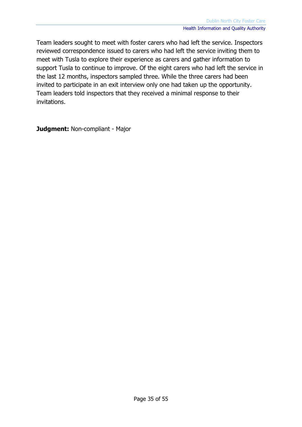Team leaders sought to meet with foster carers who had left the service. Inspectors reviewed correspondence issued to carers who had left the service inviting them to meet with Tusla to explore their experience as carers and gather information to support Tusla to continue to improve. Of the eight carers who had left the service in the last 12 months, inspectors sampled three. While the three carers had been invited to participate in an exit interview only one had taken up the opportunity. Team leaders told inspectors that they received a minimal response to their invitations.

**Judgment:** Non-compliant - Major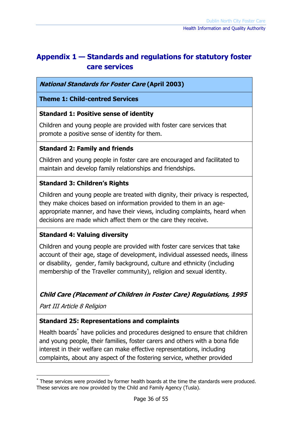# **Appendix 1 — Standards and regulations for statutory foster care services**

**National Standards for Foster Care (April 2003)**

#### **Theme 1: Child-centred Services**

#### **Standard 1: Positive sense of identity**

Children and young people are provided with foster care services that promote a positive sense of identity for them.

#### **Standard 2: Family and friends**

Children and young people in foster care are encouraged and facilitated to maintain and develop family relationships and friendships.

#### **Standard 3: Children's Rights**

Children and young people are treated with dignity, their privacy is respected, they make choices based on information provided to them in an ageappropriate manner, and have their views, including complaints, heard when decisions are made which affect them or the care they receive.

#### **Standard 4: Valuing diversity**

Children and young people are provided with foster care services that take account of their age, stage of development, individual assessed needs, illness or disability, gender, family background, culture and ethnicity (including membership of the Traveller community), religion and sexual identity.

## **Child Care (Placement of Children in Foster Care) Regulations, 1995**

Part III Article 8 Religion

<u>.</u>

#### **Standard 25: Representations and complaints**

Health boards<sup>\*</sup> have policies and procedures designed to ensure that children and young people, their families, foster carers and others with a bona fide interest in their welfare can make effective representations, including complaints, about any aspect of the fostering service, whether provided

<sup>\*</sup> These services were provided by former health boards at the time the standards were produced. These services are now provided by the Child and Family Agency (Tusla).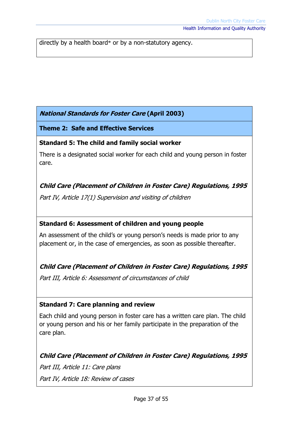directly by a health board[\\*](#page-17-0) or by a non-statutory agency.

## **National Standards for Foster Care (April 2003)**

#### **Theme 2: Safe and Effective Services**

#### **Standard 5: The child and family social worker**

There is a designated social worker for each child and young person in foster care.

## **Child Care (Placement of Children in Foster Care) Regulations, 1995**

Part IV, Article 17(1) Supervision and visiting of children

#### **Standard 6: Assessment of children and young people**

An assessment of the child's or young person's needs is made prior to any placement or, in the case of emergencies, as soon as possible thereafter.

## **Child Care (Placement of Children in Foster Care) Regulations, 1995**

Part III, Article 6: Assessment of circumstances of child

#### **Standard 7: Care planning and review**

Each child and young person in foster care has a written care plan. The child or young person and his or her family participate in the preparation of the care plan.

## **Child Care (Placement of Children in Foster Care) Regulations, 1995**

Part III, Article 11: Care plans Part IV, Article 18: Review of cases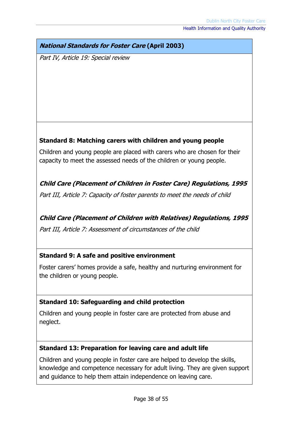Health Information and Quality Authority

## **National Standards for Foster Care (April 2003)**

Part IV, Article 19: Special review

## **Standard 8: Matching carers with children and young people**

Children and young people are placed with carers who are chosen for their capacity to meet the assessed needs of the children or young people.

## **Child Care (Placement of Children in Foster Care) Regulations, 1995**

Part III, Article 7: Capacity of foster parents to meet the needs of child

## **Child Care (Placement of Children with Relatives) Regulations, 1995**

Part III, Article 7: Assessment of circumstances of the child

## **Standard 9: A safe and positive environment**

Foster carers' homes provide a safe, healthy and nurturing environment for the children or young people.

## **Standard 10: Safeguarding and child protection**

Children and young people in foster care are protected from abuse and neglect.

## **Standard 13: Preparation for leaving care and adult life**

Children and young people in foster care are helped to develop the skills, knowledge and competence necessary for adult living. They are given support and guidance to help them attain independence on leaving care.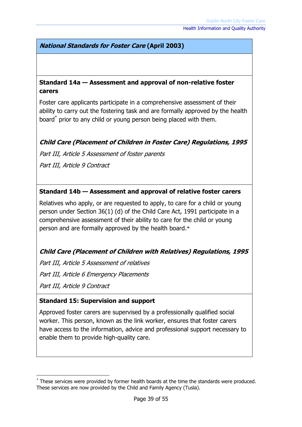## **National Standards for Foster Care (April 2003)**

## **Standard 14a — Assessment and approval of non-relative foster carers**

Foster care applicants participate in a comprehensive assessment of their ability to carry out the fostering task and are formally approved by the health board\* prior to any child or young person being placed with them.

## **Child Care (Placement of Children in Foster Care) Regulations, 1995**

Part III, Article 5 Assessment of foster parents Part III, Article 9 Contract

## **Standard 14b — Assessment and approval of relative foster carers**

Relatives who apply, or are requested to apply, to care for a child or young person under Section 36(1) (d) of the Child Care Act, 1991 participate in a comprehensive assessment of their ability to care for the child or young person and are formally approved by the health board.[\\*](#page-17-0)

## **Child Care (Placement of Children with Relatives) Regulations, 1995**

Part III, Article 5 Assessment of relatives Part III, Article 6 Emergency Placements Part III, Article 9 Contract

#### **Standard 15: Supervision and support**

<u>.</u>

Approved foster carers are supervised by a professionally qualified social worker. This person, known as the link worker, ensures that foster carers have access to the information, advice and professional support necessary to enable them to provide high-quality care.

<sup>\*</sup> These services were provided by former health boards at the time the standards were produced. These services are now provided by the Child and Family Agency (Tusla).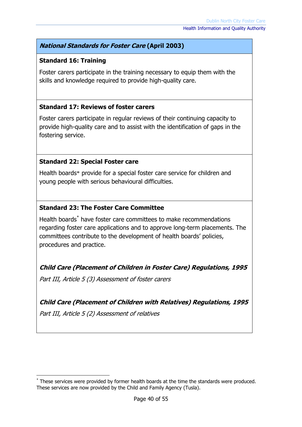## **National Standards for Foster Care (April 2003)**

#### **Standard 16: Training**

Foster carers participate in the training necessary to equip them with the skills and knowledge required to provide high-quality care.

#### **Standard 17: Reviews of foster carers**

Foster carers participate in regular reviews of their continuing capacity to provide high-quality care and to assist with the identification of gaps in the fostering service.

#### **Standard 22: Special Foster care**

Health boards[\\*](#page-17-0) provide for a special foster care service for children and young people with serious behavioural difficulties.

## **Standard 23: The Foster Care Committee**

Health boards\* have foster care committees to make recommendations regarding foster care applications and to approve long-term placements. The committees contribute to the development of health boards' policies, procedures and practice.

## **Child Care (Placement of Children in Foster Care) Regulations, 1995**

Part III, Article 5 (3) Assessment of foster carers

## **Child Care (Placement of Children with Relatives) Regulations, 1995**

Part III, Article 5 (2) Assessment of relatives

<u>.</u>

<sup>\*</sup> These services were provided by former health boards at the time the standards were produced. These services are now provided by the Child and Family Agency (Tusla).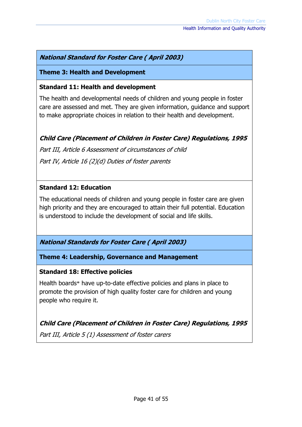## **National Standard for Foster Care ( April 2003)**

## **Theme 3: Health and Development**

## **Standard 11: Health and development**

The health and developmental needs of children and young people in foster care are assessed and met. They are given information, guidance and support to make appropriate choices in relation to their health and development.

## **Child Care (Placement of Children in Foster Care) Regulations, 1995**

Part III, Article 6 Assessment of circumstances of child Part IV, Article 16 (2)(d) Duties of foster parents

## **Standard 12: Education**

The educational needs of children and young people in foster care are given high priority and they are encouraged to attain their full potential. Education is understood to include the development of social and life skills.

**National Standards for Foster Care ( April 2003)** 

**Theme 4: Leadership, Governance and Management**

## **Standard 18: Effective policies**

Health boards[\\*](#page-17-0) have up-to-date effective policies and plans in place to promote the provision of high quality foster care for children and young people who require it.

# **Child Care (Placement of Children in Foster Care) Regulations, 1995**

Part III, Article 5 (1) Assessment of foster carers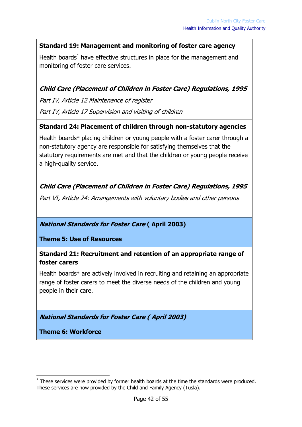#### **Standard 19: Management and monitoring of foster care agency**

Health boards<sup>\*</sup> have effective structures in place for the management and monitoring of foster care services.

#### **Child Care (Placement of Children in Foster Care) Regulations, 1995**

Part IV, Article 12 Maintenance of register Part IV, Article 17 Supervision and visiting of children

#### **Standard 24: Placement of children through non-statutory agencies**

Health boards[\\*](#page-17-0) placing children or young people with a foster carer through a non-statutory agency are responsible for satisfying themselves that the statutory requirements are met and that the children or young people receive a high-quality service.

## **Child Care (Placement of Children in Foster Care) Regulations, 1995**

Part VI, Article 24: Arrangements with voluntary bodies and other persons

## **National Standards for Foster Care ( April 2003)**

**Theme 5: Use of Resources**

#### **Standard 21: Recruitment and retention of an appropriate range of foster carers**

Health boards[\\*](#page-17-0) are actively involved in recruiting and retaining an appropriate range of foster carers to meet the diverse needs of the children and young people in their care.

**National Standards for Foster Care ( April 2003)** 

**Theme 6: Workforce**

<u>.</u>

<sup>\*</sup> These services were provided by former health boards at the time the standards were produced. These services are now provided by the Child and Family Agency (Tusla).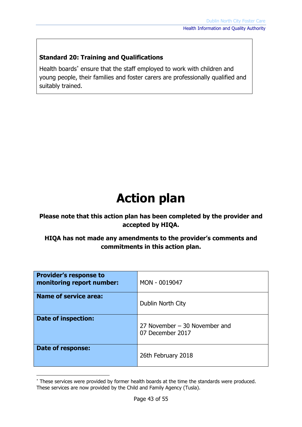## **Standard 20: Training and Qualifications**

Health boards<sup>\*</sup> ensure that the staff employed to work with children and young people, their families and foster carers are professionally qualified and suitably trained.

# **Action plan**

## **Please note that this action plan has been completed by the provider and accepted by HIQA.**

## **HIQA has not made any amendments to the provider's comments and commitments in this action plan.**

| <b>Provider's response to</b><br>monitoring report number: | MON - 0019047                                      |
|------------------------------------------------------------|----------------------------------------------------|
| <b>Name of service area:</b>                               | Dublin North City                                  |
| <b>Date of inspection:</b>                                 | 27 November $-30$ November and<br>07 December 2017 |
| <b>Date of response:</b>                                   | 26th February 2018                                 |

These services were provided by former health boards at the time the standards were produced. These services are now provided by the Child and Family Agency (Tusla).

1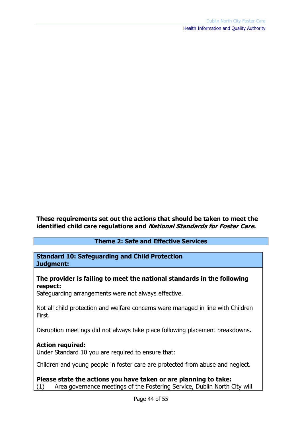Health Information and Quality Authority

**These requirements set out the actions that should be taken to meet the identified child care regulations and National Standards for Foster Care.** 

#### **Theme 2: Safe and Effective Services**

**Standard 10: Safeguarding and Child Protection Judgment:** 

#### **The provider is failing to meet the national standards in the following respect:**

Safeguarding arrangements were not always effective.

Not all child protection and welfare concerns were managed in line with Children First.

Disruption meetings did not always take place following placement breakdowns.

#### **Action required:**

Under Standard 10 you are required to ensure that:

Children and young people in foster care are protected from abuse and neglect.

**Please state the actions you have taken or are planning to take:** (1) Area governance meetings of the Fostering Service, Dublin North City will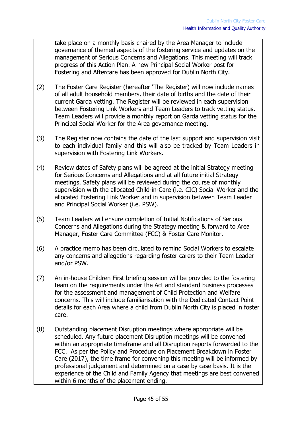take place on a monthly basis chaired by the Area Manager to include governance of themed aspects of the fostering service and updates on the management of Serious Concerns and Allegations. This meeting will track progress of this Action Plan. A new Principal Social Worker post for Fostering and Aftercare has been approved for Dublin North City.

- (2) The Foster Care Register (hereafter 'The Register) will now include names of all adult household members, their date of births and the date of their current Garda vetting. The Register will be reviewed in each supervision between Fostering Link Workers and Team Leaders to track vetting status. Team Leaders will provide a monthly report on Garda vetting status for the Principal Social Worker for the Area governance meeting.
- (3) The Register now contains the date of the last support and supervision visit to each individual family and this will also be tracked by Team Leaders in supervision with Fostering Link Workers.
- (4) Review dates of Safety plans will be agreed at the initial Strategy meeting for Serious Concerns and Allegations and at all future initial Strategy meetings. Safety plans will be reviewed during the course of monthly supervision with the allocated Child-in-Care (i.e. CIC) Social Worker and the allocated Fostering Link Worker and in supervision between Team Leader and Principal Social Worker (i.e. PSW).
- (5) Team Leaders will ensure completion of Initial Notifications of Serious Concerns and Allegations during the Strategy meeting & forward to Area Manager, Foster Care Committee (FCC) & Foster Care Monitor.
- (6) A practice memo has been circulated to remind Social Workers to escalate any concerns and allegations regarding foster carers to their Team Leader and/or PSW.
- (7) An in-house Children First briefing session will be provided to the fostering team on the requirements under the Act and standard business processes for the assessment and management of Child Protection and Welfare concerns. This will include familiarisation with the Dedicated Contact Point details for each Area where a child from Dublin North City is placed in foster care.
- (8) Outstanding placement Disruption meetings where appropriate will be scheduled. Any future placement Disruption meetings will be convened within an appropriate timeframe and all Disruption reports forwarded to the FCC. As per the Policy and Procedure on Placement Breakdown in Foster Care (2017), the time frame for convening this meeting will be informed by professional judgement and determined on a case by case basis. It is the experience of the Child and Family Agency that meetings are best convened within 6 months of the placement ending.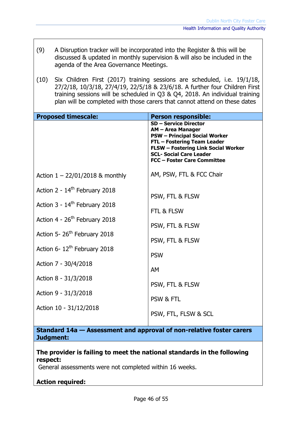- (9) A Disruption tracker will be incorporated into the Register & this will be discussed & updated in monthly supervision & will also be included in the agenda of the Area Governance Meetings.
- (10) Six Children First (2017) training sessions are scheduled, i.e. 19/1/18, 27/2/18, 10/3/18, 27/4/19, 22/5/18 & 23/6/18. A further four Children First training sessions will be scheduled in Q3 & Q4, 2018. An individual training plan will be completed with those carers that cannot attend on these dates

| <b>Proposed timescale:</b>                  | <b>Person responsible:</b>                                                                                                                                                                                                                     |
|---------------------------------------------|------------------------------------------------------------------------------------------------------------------------------------------------------------------------------------------------------------------------------------------------|
|                                             | <b>SD - Service Director</b><br>AM - Area Manager<br><b>PSW - Principal Social Worker</b><br>FTL - Fostering Team Leader<br><b>FLSW - Fostering Link Social Worker</b><br><b>SCL- Social Care Leader</b><br><b>FCC - Foster Care Committee</b> |
| Action $1 - 22/01/2018$ & monthly           | AM, PSW, FTL & FCC Chair                                                                                                                                                                                                                       |
| Action 2 - 14 <sup>th</sup> February 2018   | PSW, FTL & FLSW                                                                                                                                                                                                                                |
| Action $3 - 14$ <sup>th</sup> February 2018 | FTL & FLSW                                                                                                                                                                                                                                     |
| Action 4 - 26 <sup>th</sup> February 2018   | PSW, FTL & FLSW                                                                                                                                                                                                                                |
| Action 5- 26 <sup>th</sup> February 2018    | PSW, FTL & FLSW                                                                                                                                                                                                                                |
| Action 6-12 <sup>th</sup> February 2018     | <b>PSW</b>                                                                                                                                                                                                                                     |
| Action 7 - 30/4/2018                        | AM                                                                                                                                                                                                                                             |
| Action 8 - 31/3/2018                        | PSW, FTL & FLSW                                                                                                                                                                                                                                |
| Action 9 - 31/3/2018                        | <b>PSW &amp; FTL</b>                                                                                                                                                                                                                           |
| Action 10 - 31/12/2018                      | PSW, FTL, FLSW & SCL                                                                                                                                                                                                                           |

#### **Standard 14a — Assessment and approval of non-relative foster carers Judgment:**

#### **The provider is failing to meet the national standards in the following respect:**

General assessments were not completed within 16 weeks.

## **Action required:**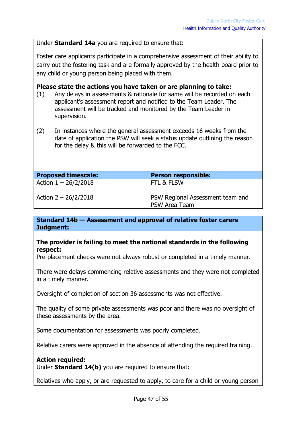#### Under **Standard 14a** you are required to ensure that:

Foster care applicants participate in a comprehensive assessment of their ability to carry out the fostering task and are formally approved by the health board prior to any child or young person being placed with them.

#### **Please state the actions you have taken or are planning to take:**

- (1) Any delays in assessments & rationale for same will be recorded on each applicant's assessment report and notified to the Team Leader. The assessment will be tracked and monitored by the Team Leader in supervision.
- (2) In instances where the general assessment exceeds 16 weeks from the date of application the PSW will seek a status update outlining the reason for the delay & this will be forwarded to the FCC.

| <b>Proposed timescale:</b>      | <b>Person responsible:</b>                        |
|---------------------------------|---------------------------------------------------|
| Action $1 - \frac{26}{2}$ /2018 | FTL & FLSW                                        |
| Action $2 - 26/2/2018$          | PSW Regional Assessment team and<br>PSW Area Team |

#### **Standard 14b — Assessment and approval of relative foster carers Judgment:**

#### **The provider is failing to meet the national standards in the following respect:**

Pre-placement checks were not always robust or completed in a timely manner.

There were delays commencing relative assessments and they were not completed in a timely manner.

Oversight of completion of section 36 assessments was not effective.

The quality of some private assessments was poor and there was no oversight of these assessments by the area.

Some documentation for assessments was poorly completed.

Relative carers were approved in the absence of attending the required training.

#### **Action required:**

Under **Standard 14(b)** you are required to ensure that:

Relatives who apply, or are requested to apply, to care for a child or young person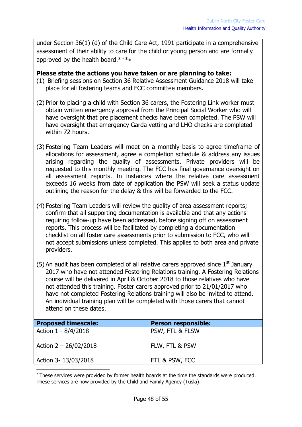under Section 36(1) (d) of the Child Care Act, 1991 participate in a comprehensive assessment of their ability to care for the child or young person and are formally approved by the health board.\*\*\*

#### **Please state the actions you have taken or are planning to take:**

- (1) Briefing sessions on Section 36 Relative Assessment Guidance 2018 will take place for all fostering teams and FCC committee members.
- (2) Prior to placing a child with Section 36 carers, the Fostering Link worker must obtain written emergency approval from the Principal Social Worker who will have oversight that pre placement checks have been completed. The PSW will have oversight that emergency Garda vetting and LHO checks are completed within 72 hours.
- (3) Fostering Team Leaders will meet on a monthly basis to agree timeframe of allocations for assessment, agree a completion schedule & address any issues arising regarding the quality of assessments. Private providers will be requested to this monthly meeting. The FCC has final governance oversight on all assessment reports. In instances where the relative care assessment exceeds 16 weeks from date of application the PSW will seek a status update outlining the reason for the delay & this will be forwarded to the FCC.
- (4) Fostering Team Leaders will review the quality of area assessment reports; confirm that all supporting documentation is available and that any actions requiring follow-up have been addressed, before signing off on assessment reports. This process will be facilitated by completing a documentation checklist on all foster care assessments prior to submission to FCC, who will not accept submissions unless completed. This applies to both area and private providers.
- (5) An audit has been completed of all relative carers approved since  $1<sup>st</sup>$  January 2017 who have not attended Fostering Relations training. A Fostering Relations course will be delivered in April & October 2018 to those relatives who have not attended this training. Foster carers approved prior to 21/01/2017 who have not completed Fostering Relations training will also be invited to attend. An individual training plan will be completed with those carers that cannot attend on these dates.

| <b>Proposed timescale:</b> | <b>Person responsible:</b> |
|----------------------------|----------------------------|
| Action 1 - 8/4/2018        | PSW, FTL & FLSW            |
|                            |                            |
| Action $2 - 26/02/2018$    | FLW, FTL & PSW             |
|                            |                            |
| Action 3-13/03/2018        | FTL & PSW, FCC             |
|                            |                            |

These services were provided by former health boards at the time the standards were produced. These services are now provided by the Child and Family Agency (Tusla).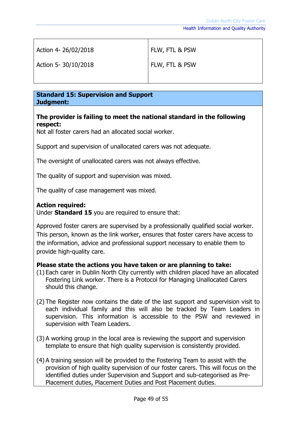| Action 4- 26/02/2018 |  |
|----------------------|--|
|----------------------|--|

FLW, FTL & PSW

Action 5- 30/10/2018

FLW, FTL & PSW

#### **Standard 15: Supervision and Support Judgment:**

#### **The provider is failing to meet the national standard in the following respect:**

Not all foster carers had an allocated social worker.

Support and supervision of unallocated carers was not adequate.

The oversight of unallocated carers was not always effective.

The quality of support and supervision was mixed.

The quality of case management was mixed.

#### **Action required:**

Under **Standard 15** you are required to ensure that:

Approved foster carers are supervised by a professionally qualified social worker. This person, known as the link worker, ensures that foster carers have access to the information, advice and professional support necessary to enable them to provide high-quality care.

#### **Please state the actions you have taken or are planning to take:**

- (1) Each carer in Dublin North City currently with children placed have an allocated Fostering Link worker. There is a Protocol for Managing Unallocated Carers should this change.
- (2) The Register now contains the date of the last support and supervision visit to each individual family and this will also be tracked by Team Leaders in supervision. This information is accessible to the PSW and reviewed in supervision with Team Leaders.
- (3) A working group in the local area is reviewing the support and supervision template to ensure that high quality supervision is consistently provided.
- (4) A training session will be provided to the Fostering Team to assist with the provision of high quality supervision of our foster carers. This will focus on the identified duties under Supervision and Support and sub-categorised as Pre-Placement duties, Placement Duties and Post Placement duties.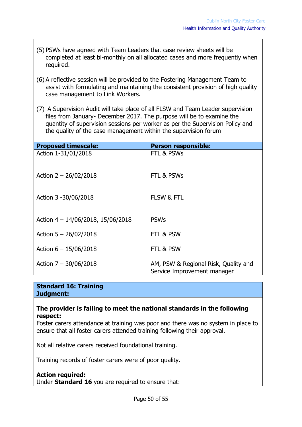| (5) PSWs have agreed with Team Leaders that case review sheets will be        |
|-------------------------------------------------------------------------------|
| completed at least bi-monthly on all allocated cases and more frequently when |
| required.                                                                     |

- (6) A reflective session will be provided to the Fostering Management Team to assist with formulating and maintaining the consistent provision of high quality case management to Link Workers.
- (7) A Supervision Audit will take place of all FLSW and Team Leader supervision files from January- December 2017. The purpose will be to examine the quantity of supervision sessions per worker as per the Supervision Policy and the quality of the case management within the supervision forum

| <b>Proposed timescale:</b>           | <b>Person responsible:</b>                                          |
|--------------------------------------|---------------------------------------------------------------------|
| Action 1-31/01/2018                  | FTL & PSWs                                                          |
| Action $2 - 26/02/2018$              | FTL & PSWs                                                          |
| Action 3 - 30/06/2018                | <b>FLSW &amp; FTL</b>                                               |
| Action $4 - 14/06/2018$ , 15/06/2018 | <b>PSWs</b>                                                         |
| Action $5 - 26/02/2018$              | FTL & PSW                                                           |
| Action $6 - 15/06/2018$              | FTL & PSW                                                           |
| Action $7 - 30/06/2018$              | AM, PSW & Regional Risk, Quality and<br>Service Improvement manager |

#### **Standard 16: Training Judgment:**

#### **The provider is failing to meet the national standards in the following respect:**

Foster carers attendance at training was poor and there was no system in place to ensure that all foster carers attended training following their approval.

Not all relative carers received foundational training.

Training records of foster carers were of poor quality.

## **Action required:**

Under **Standard 16** you are required to ensure that: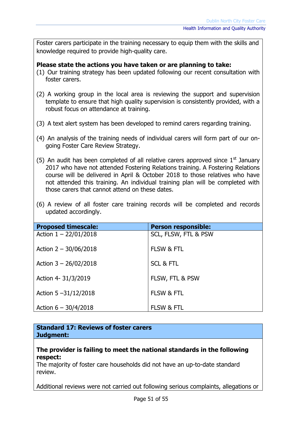Foster carers participate in the training necessary to equip them with the skills and knowledge required to provide high-quality care.

#### **Please state the actions you have taken or are planning to take:**

- (1) Our training strategy has been updated following our recent consultation with foster carers.
- (2) A working group in the local area is reviewing the support and supervision template to ensure that high quality supervision is consistently provided, with a robust focus on attendance at training.
- (3) A text alert system has been developed to remind carers regarding training.
- (4) An analysis of the training needs of individual carers will form part of our ongoing Foster Care Review Strategy.
- (5) An audit has been completed of all relative carers approved since  $1<sup>st</sup>$  January 2017 who have not attended Fostering Relations training. A Fostering Relations course will be delivered in April & October 2018 to those relatives who have not attended this training. An individual training plan will be completed with those carers that cannot attend on these dates.
- (6) A review of all foster care training records will be completed and records updated accordingly.

| <b>Proposed timescale:</b> | <b>Person responsible:</b> |
|----------------------------|----------------------------|
| Action $1 - 22/01/2018$    | SCL, FLSW, FTL & PSW       |
|                            |                            |
| Action $2 - 30/06/2018$    | <b>FLSW &amp; FTL</b>      |
|                            |                            |
| Action $3 - 26/02/2018$    | <b>SCL &amp; FTL</b>       |
|                            |                            |
| Action 4- 31/3/2019        | FLSW, FTL & PSW            |
|                            |                            |
| Action $5 - 31/12/2018$    | <b>FLSW &amp; FTL</b>      |
|                            |                            |
|                            |                            |
| Action $6 - 30/4/2018$     | <b>FLSW &amp; FTL</b>      |

#### **Standard 17: Reviews of foster carers Judgment:**

#### **The provider is failing to meet the national standards in the following respect:**

The majority of foster care households did not have an up-to-date standard review.

Additional reviews were not carried out following serious complaints, allegations or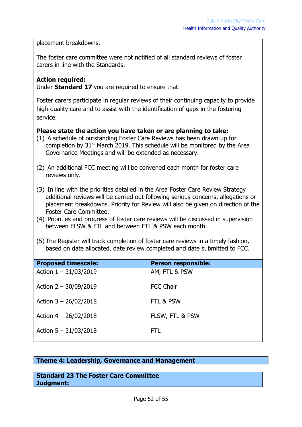placement breakdowns.

The foster care committee were not notified of all standard reviews of foster carers in line with the Standards.

#### **Action required:**

Under **Standard 17** you are required to ensure that:

Foster carers participate in regular reviews of their continuing capacity to provide high-quality care and to assist with the identification of gaps in the fostering service.

#### **Please state the action you have taken or are planning to take:**

- (1) A schedule of outstanding Foster Care Reviews has been drawn up for completion by  $31<sup>st</sup>$  March 2019. This schedule will be monitored by the Area Governance Meetings and will be extended as necessary.
- (2) An additional FCC meeting will be convened each month for foster care reviews only.
- (3) In line with the priorities detailed in the Area Foster Care Review Strategy additional reviews will be carried out following serious concerns, allegations or placement breakdowns. Priority for Review will also be given on direction of the Foster Care Committee.
- (4) Priorities and progress of foster care reviews will be discussed in supervision between FLSW & FTL and between FTL & PSW each month.
- (5) The Register will track completion of foster care reviews in a timely fashion, based on date allocated, date review completed and date submitted to FCC.

| <b>Proposed timescale:</b> | <b>Person responsible:</b> |
|----------------------------|----------------------------|
| Action $1 - 31/03/2019$    | AM, FTL & PSW              |
| Action $2 - 30/09/2019$    | <b>FCC Chair</b>           |
| Action $3 - 26/02/2018$    | FTL & PSW                  |
| Action $4 - 26/02/2018$    | FLSW, FTL & PSW            |
| Action $5 - 31/03/2018$    | FTL                        |

#### **Theme 4: Leadership, Governance and Management**

| <b>Standard 23 The Foster Care Committee</b> |  |
|----------------------------------------------|--|
| Judgment:                                    |  |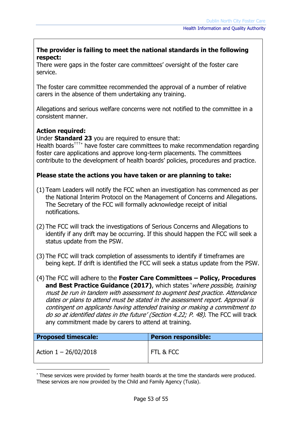#### **The provider is failing to meet the national standards in the following respect:**

There were gaps in the foster care committees' oversight of the foster care service.

The foster care committee recommended the approval of a number of relative carers in the absence of them undertaking any training.

Allegations and serious welfare concerns were not notified to the committee in a consistent manner.

#### **Action required:**

1

Under **Standard 23** you are required to ensure that: Health boards<sup>†††\*</sup> have foster care committees to make recommendation regarding foster care applications and approve long-term placements. The committees contribute to the development of health boards' policies, procedures and practice.

## **Please state the actions you have taken or are planning to take:**

- (1) Team Leaders will notify the FCC when an investigation has commenced as per the National Interim Protocol on the Management of Concerns and Allegations. The Secretary of the FCC will formally acknowledge receipt of initial notifications.
- (2) The FCC will track the investigations of Serious Concerns and Allegations to identify if any drift may be occurring. If this should happen the FCC will seek a status update from the PSW.
- (3) The FCC will track completion of assessments to identify if timeframes are being kept. If drift is identified the FCC will seek a status update from the PSW.
- (4) The FCC will adhere to the **Foster Care Committees – Policy, Procedures and Best Practice Guidance (2017)**, which states 'where possible, training must be run in tandem with assessment to augment best practice. Attendance dates or plans to attend must be stated in the assessment report. Approval is contingent on applicants having attended training or making a commitment to do so at identified dates in the future' (Section 4.22; P. 48). The FCC will track any commitment made by carers to attend at training.

| <b>Proposed timescale:</b> | <b>Person responsible:</b> |
|----------------------------|----------------------------|
| Action $1 - 26/02/2018$    | <b>FTL &amp; FCC</b>       |

These services were provided by former health boards at the time the standards were produced. These services are now provided by the Child and Family Agency (Tusla).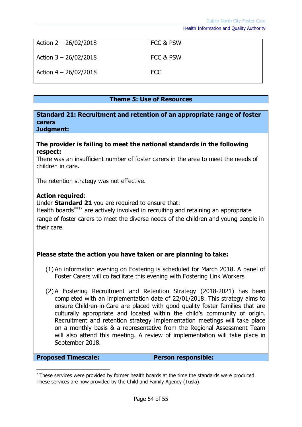| Action $2 - 26/02/2018$ | FCC & PSW  |
|-------------------------|------------|
| Action $3 - 26/02/2018$ | FCC & PSW  |
| Action $4 - 26/02/2018$ | <b>FCC</b> |

#### **Theme 5: Use of Resources**

#### **Standard 21: Recruitment and retention of an appropriate range of foster carers Judgment:**

# **The provider is failing to meet the national standards in the following respect:**

There was an insufficient number of foster carers in the area to meet the needs of children in care.

The retention strategy was not effective.

#### **Action required**:

Under **Standard 21** you are required to ensure that:

Health boards<sup>###</sup> are actively involved in recruiting and retaining an appropriate range of foster carers to meet the diverse needs of the children and young people in their care.

#### **Please state the action you have taken or are planning to take:**

- (1) An information evening on Fostering is scheduled for March 2018. A panel of Foster Carers will co facilitate this evening with Fostering Link Workers
- (2) A Fostering Recruitment and Retention Strategy (2018-2021) has been completed with an implementation date of 22/01/2018. This strategy aims to ensure Children-in-Care are placed with good quality foster families that are culturally appropriate and located within the child's community of origin. Recruitment and retention strategy implementation meetings will take place on a monthly basis & a representative from the Regional Assessment Team will also attend this meeting. A review of implementation will take place in September 2018.

1

**Proposed Timescale: Person responsible:**

These services were provided by former health boards at the time the standards were produced. These services are now provided by the Child and Family Agency (Tusla).